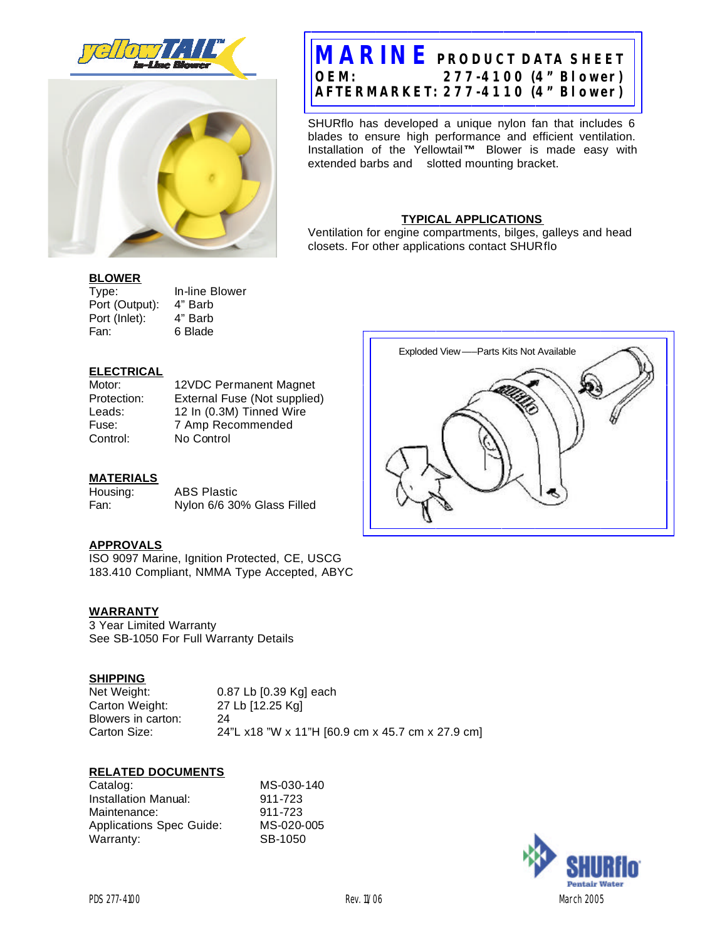



# **OEM: AFTERMARKET: 277-4110 (4" Blower) MARINE PRODUCT DATA SHEET OEM: 277-4100 (4" Blower)**

extended barbs and slotted mounting bracket. Installation of the Yellowtail**™** Blower is made easy with extended barbs and slotted mounting bracket. SHURflo has developed a unique nylon fan that includes 6 blades to ensure high performance and efficient ventilation.

## **TYPICAL APPLICATIONS**

Ventilation for engine compartments, bilges, galleys and head closets. For other applications contact SHURflo

Exploded View —–Parts Kits Not Available

### **BLOWER**

 Port (Output): 4" Barb Port (Inlet): 4" Barb Type: In-line Blower<br>Port (Output): 4" Barb Fan: 6 Blade

## **ELECTRICAL**

Motor: Protection: Leads: Fuse: Control:

12VDC Permanent Magnet External Fuse (Not supplied) 12 In (0.3M) Tinned Wire 7 Amp Recommended No Control

## **MATERIALS**

Housing: Fan: **ABS Plastic** Nylon 6/6 30% Glass Filled

## **APPROVALS**

ISO 9097 Marine, Ignition Protected, CE, USCG 183.410 Compliant, NMMA Type Accepted, ABYC

### **WARRANTY**

3 Year Limited Warranty 3 Year Limited Warranty<br>See SB-1050 For Full Warranty Details

### **SHIPPING**

Net Weight: Carton Weight: Blowers in carton: 24 Carton Size: 0.87 Lb [0.39 Kg] each 27 Lb [12.25 Kg] 24"L x18 "W x 11"H [60.9 cm x 45.7 cm x 27.9 cm]

### **RELATED DOCUMENTS**

| MS-030-140 |
|------------|
| 911-723    |
| 911-723    |
| MS-020-005 |
| SB-1050    |
|            |